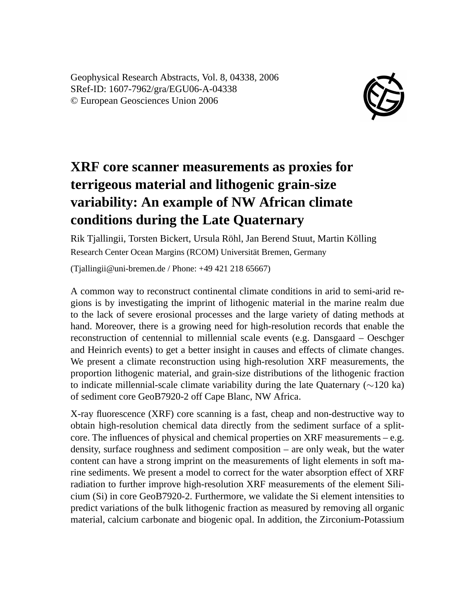Geophysical Research Abstracts, Vol. 8, 04338, 2006 SRef-ID: 1607-7962/gra/EGU06-A-04338 © European Geosciences Union 2006



## **XRF core scanner measurements as proxies for terrigeous material and lithogenic grain-size variability: An example of NW African climate conditions during the Late Quaternary**

Rik Tjallingii, Torsten Bickert, Ursula Röhl, Jan Berend Stuut, Martin Kölling Research Center Ocean Margins (RCOM) Universität Bremen, Germany

(Tjallingii@uni-bremen.de / Phone: +49 421 218 65667)

A common way to reconstruct continental climate conditions in arid to semi-arid regions is by investigating the imprint of lithogenic material in the marine realm due to the lack of severe erosional processes and the large variety of dating methods at hand. Moreover, there is a growing need for high-resolution records that enable the reconstruction of centennial to millennial scale events (e.g. Dansgaard – Oeschger and Heinrich events) to get a better insight in causes and effects of climate changes. We present a climate reconstruction using high-resolution XRF measurements, the proportion lithogenic material, and grain-size distributions of the lithogenic fraction to indicate millennial-scale climate variability during the late Quaternary (∼120 ka) of sediment core GeoB7920-2 off Cape Blanc, NW Africa.

X-ray fluorescence (XRF) core scanning is a fast, cheap and non-destructive way to obtain high-resolution chemical data directly from the sediment surface of a splitcore. The influences of physical and chemical properties on XRF measurements – e.g. density, surface roughness and sediment composition – are only weak, but the water content can have a strong imprint on the measurements of light elements in soft marine sediments. We present a model to correct for the water absorption effect of XRF radiation to further improve high-resolution XRF measurements of the element Silicium (Si) in core GeoB7920-2. Furthermore, we validate the Si element intensities to predict variations of the bulk lithogenic fraction as measured by removing all organic material, calcium carbonate and biogenic opal. In addition, the Zirconium-Potassium